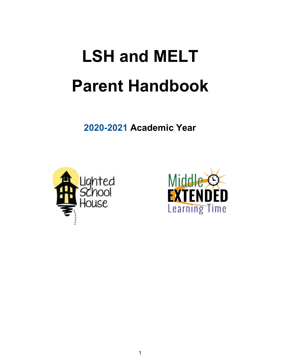# **LSH and MELT Parent Handbook**

**2020-2021 Academic Year**



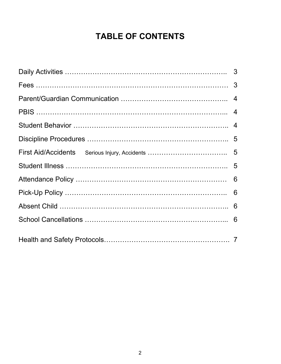# **TABLE OF CONTENTS**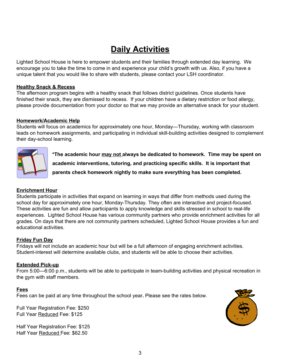## **Daily Activities**

Lighted School House is here to empower students and their families through extended day learning. We encourage you to take the time to come in and experience your child's growth with us. Also, if you have a unique talent that you would like to share with students, please contact your LSH coordinator.

### **Healthy Snack & Recess**

The afternoon program begins with a healthy snack that follows district guidelines. Once students have finished their snack, they are dismissed to recess. If your children have a dietary restriction or food allergy, please provide documentation from your doctor so that we may provide an alternative snack for your student.

### **Homework/Academic Help**

Students will focus on academics for approximately one hour, Monday—Thursday, working with classroom leads on homework assignments, and participating in individual skill-building activities designed to complement their day-school learning.



**\*The academic hour may not always be dedicated to homework. Time may be spent on academic interventions, tutoring, and practicing specific skills. It is important that parents check homework nightly to make sure everything has been completed.**

### **Enrichment Hour**

Students participate in activities that expand on learning in ways that differ from methods used during the school day for approximately one hour, Monday-Thursday. They often are interactive and project-focused. These activities are fun and allow participants to apply knowledge and skills stressed in school to real-life experiences. Lighted School House has various community partners who provide enrichment activities for all grades. On days that there are not community partners scheduled, Lighted School House provides a fun and educational activities.

### **Friday Fun Day**

Fridays will not include an academic hour but will be a full afternoon of engaging enrichment activities. Student-interest will determine available clubs, and students will be able to choose their activities.

### **Extended Pick-up**

From 5:00—6:00 p.m., students will be able to participate in team-building activities and physical recreation in the gym with staff members.

### **Fees**

Fees can be paid at any time throughout the school year**.** Please see the rates below.

Full Year Registration Fee: \$250 Full Year Reduced Fee: \$125

Half Year Registration Fee: \$125 Half Year Reduced Fee: \$62.50

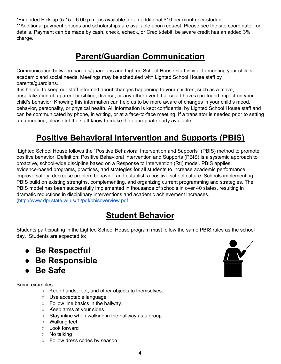\*Extended Pick-up (5:15—6:00 p.m.) is available for an additional \$10 per month per student \*\*Additional payment options and scholarships are available upon request. Please see the site coordinator for details. Payment can be made by cash, check, echeck, or Credit/debit, be aware credit has an added 3% charge.

### **Parent/Guardian Communication**

Communication between parents/guardians and Lighted School House staff is vital to meeting your child's academic and social needs. Meetings may be scheduled with Lighted School House staff by parents/guardians.

It is helpful to keep our staff informed about changes happening to your children, such as a move, hospitalization of a parent or sibling, divorce, or any other event that could have a profound impact on your child's behavior. Knowing this information can help us to be more aware of changes in your child's mood, behavior, personality, or physical health. All information is kept confidential by Lighted School House staff and can be communicated by phone, in writing, or at a face-to-face meeting. If a translator is needed prior to setting up a meeting, please let the staff know to make the appropriate party available.

# **Positive Behavioral Intervention and Supports (PBIS)**

Lighted School House follows the "Positive Behavioral Intervention and Supports" (PBIS) method to promote positive behavior. Definition: Positive Behavioral Intervention and Supports (PBIS) is a systemic approach to proactive, school-wide discipline based on a Response to Intervention (RtI) model. PBIS applies evidence-based programs, practices, and strategies for all students to increase academic performance, improve safety, decrease problem behavior, and establish a positive school culture. Schools implementing PBIS build on existing strengths, complementing, and organizing current programming and strategies. The PBIS model has been successfully implemented in thousands of schools in over 40 states, resulting in dramatic reductions in disciplinary interventions and academic achievement increases. (<http://www.dpi.state.wi.us/rti/pdf/pbisoverview.pdf>

### **Student Behavior**

Students participating in the Lighted School House program must follow the same PBIS rules as the school day. Students are expected to:

- **Be Respectful**
- **Be Responsible**
- **Be Safe**

Some examples:

- Keep hands, feet, and other objects to themselves.
- Use acceptable language
- Follow line basics in the hallway.
- Keep arms at your sides
- $\circ$  Stay inline when walking in the hallway as a group
- Walking feet
- Look forward
- No talking
- Follow dress codes by season

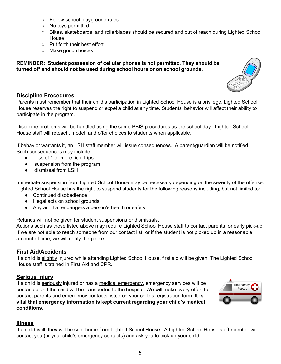- Follow school playground rules
- No toys permitted
- Bikes, skateboards, and rollerblades should be secured and out of reach during Lighted School House
- Put forth their best effort
- Make good choices

**REMINDER: Student possession of cellular phones is not permitted. They should be turned off and should not be used during school hours or on school grounds.**



### **Discipline Procedures**

Parents must remember that their child's participation in Lighted School House is a privilege. Lighted School House reserves the right to suspend or expel a child at any time. Students' behavior will affect their ability to participate in the program.

Discipline problems will be handled using the same PBIS procedures as the school day. Lighted School House staff will reteach, model, and offer choices to students when applicable.

If behavior warrants it, an LSH staff member will issue consequences. A parent/guardian will be notified. Such consequences may include:

- loss of 1 or more field trips
- suspension from the program
- dismissal from LSH

Immediate suspension from Lighted School House may be necessary depending on the severity of the offense. Lighted School House has the right to suspend students for the following reasons including, but not limited to:

- Continued disobedience
- Illegal acts on school grounds
- Any act that endangers a person's health or safety

Refunds will not be given for student suspensions or dismissals.

Actions such as those listed above may require Lighted School House staff to contact parents for early pick-up. If we are not able to reach someone from our contact list, or if the student is not picked up in a reasonable amount of time, we will notify the police.

### **First Aid/Accidents**

If a child is slightly injured while attending Lighted School House, first aid will be given. The Lighted School House staff is trained in First Aid and CPR.

### **Serious Injury**

If a child is seriously injured or has a medical emergency, emergency services will be contacted and the child will be transported to the hospital. We will make every effort to contact parents and emergency contacts listed on your child's registration form. **It is vital that emergency information is kept current regarding your child's medical conditions**.



### **Illness**

If a child is ill, they will be sent home from Lighted School House. A Lighted School House staff member will contact you (or your child's emergency contacts) and ask you to pick up your child.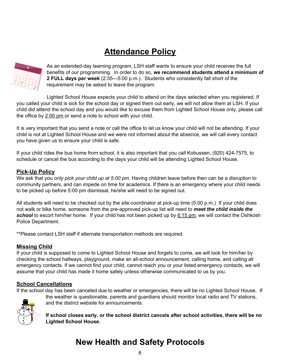# **Attendance Policy**



As an extended-day learning program, LSH staff wants to ensure your child receives the full benefits of our programming. In order to do so, **we recommend students attend a minimum of 2 FULL days per week** (2:35—5:00 p.m.). Students who consistently fall short of the requirement may be asked to leave the program.

Lighted School House expects your child to attend on the days selected when you registered. If you called your child is sick for the school day or signed them out early, we will not allow them at LSH. If your child did attend the school day and you would like to excuse them from Lighted School House only, please call the office by 2:00 pm or send a note to school with your child.

It is very important that you send a note or call the office to let us know your child will not be attending. If your child is not at Lighted School House and we were not informed about the absence, we will call every contact you have given us to ensure your child is safe.

If your child rides the bus home from school, it is also important that you call Kobussen, (920) 424-7575, to schedule or cancel the bus according to the days your child will be attending Lighted School House.

### **Pick-Up Policy**

We ask that you *only pick your child up at 5:00 pm.* Having children leave before then can be a disruption to community partners, and can impede on time for academics. If there is an emergency where your child needs to be picked up before 5:00 pm dismissal, he/she will need to be signed out.

All students will need to be checked out by the site coordinator at pick-up time (5:00 p.m.) If your child does not walk or bike home, someone from the pre-approved pick-up list will need to *meet the child inside the* school to escort him/her home. If your child has not been picked up by 6:15 pm, we will contact the Oshkosh Police Department.

\*\*Please contact LSH staff if alternate transportation methods are required.

### **Missing Child**

If your child is supposed to come to Lighted School House and forgets to come, we will look for him/her by checking the school hallways, playground, make an all-school announcement, calling home, and calling all emergency contacts. If we cannot find your child, cannot reach you or your listed emergency contacts, we will assume that your child has made it home safely unless otherwise communicated to us by you.

### **School Cancellations**

If the school day has been canceled due to weather or emergencies, there will be no Lighted School House. If



the weather is questionable, parents and guardians should monitor local radio and TV stations, and the district website for announcements.

**If school closes early, or the school district cancels after school activities, there will be no Lighted School House.**

# **New Health and Safety Protocols**